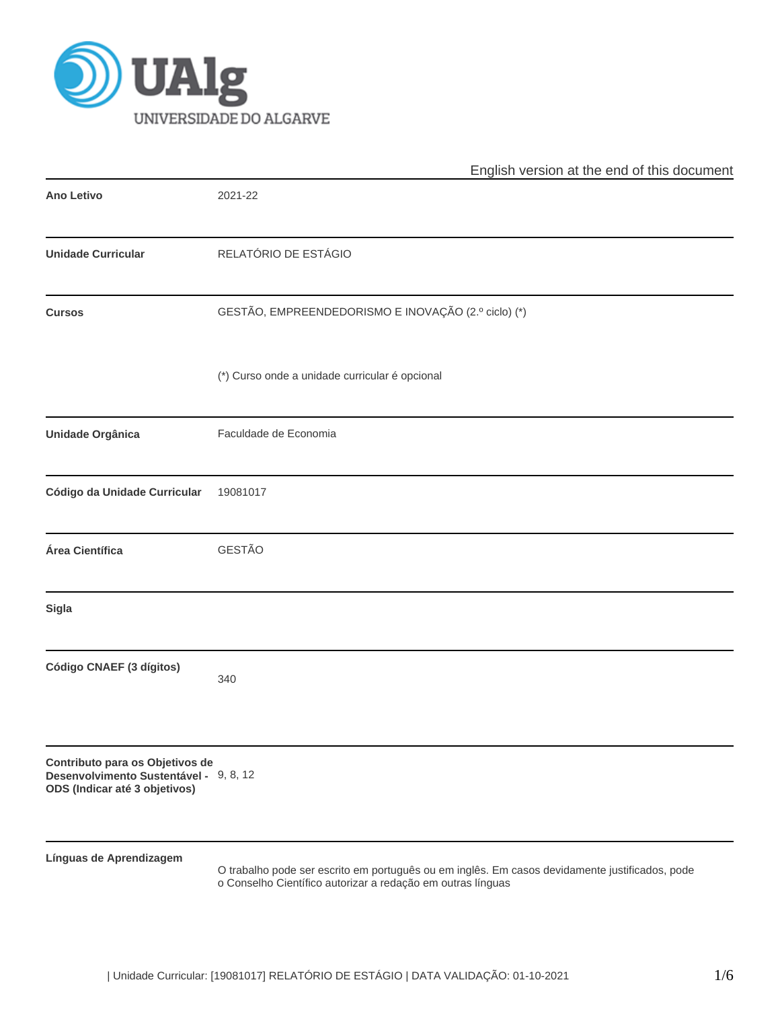

|                                                                                                            | English version at the end of this document                                                                                                                   |  |  |  |  |  |
|------------------------------------------------------------------------------------------------------------|---------------------------------------------------------------------------------------------------------------------------------------------------------------|--|--|--|--|--|
| <b>Ano Letivo</b>                                                                                          | 2021-22                                                                                                                                                       |  |  |  |  |  |
| <b>Unidade Curricular</b>                                                                                  | RELATÓRIO DE ESTÁGIO                                                                                                                                          |  |  |  |  |  |
| <b>Cursos</b>                                                                                              | GESTÃO, EMPREENDEDORISMO E INOVAÇÃO (2.º ciclo) (*)                                                                                                           |  |  |  |  |  |
|                                                                                                            | (*) Curso onde a unidade curricular é opcional                                                                                                                |  |  |  |  |  |
| Unidade Orgânica                                                                                           | Faculdade de Economia                                                                                                                                         |  |  |  |  |  |
| Código da Unidade Curricular                                                                               | 19081017                                                                                                                                                      |  |  |  |  |  |
| Área Científica                                                                                            | <b>GESTÃO</b>                                                                                                                                                 |  |  |  |  |  |
| <b>Sigla</b>                                                                                               |                                                                                                                                                               |  |  |  |  |  |
| Código CNAEF (3 dígitos)                                                                                   | 340                                                                                                                                                           |  |  |  |  |  |
| Contributo para os Objetivos de<br>Desenvolvimento Sustentável - 9, 8, 12<br>ODS (Indicar até 3 objetivos) |                                                                                                                                                               |  |  |  |  |  |
| Línguas de Aprendizagem                                                                                    | O trabalho pode ser escrito em português ou em inglês. Em casos devidamente justificados, pode<br>o Conselho Científico autorizar a redação em outras línguas |  |  |  |  |  |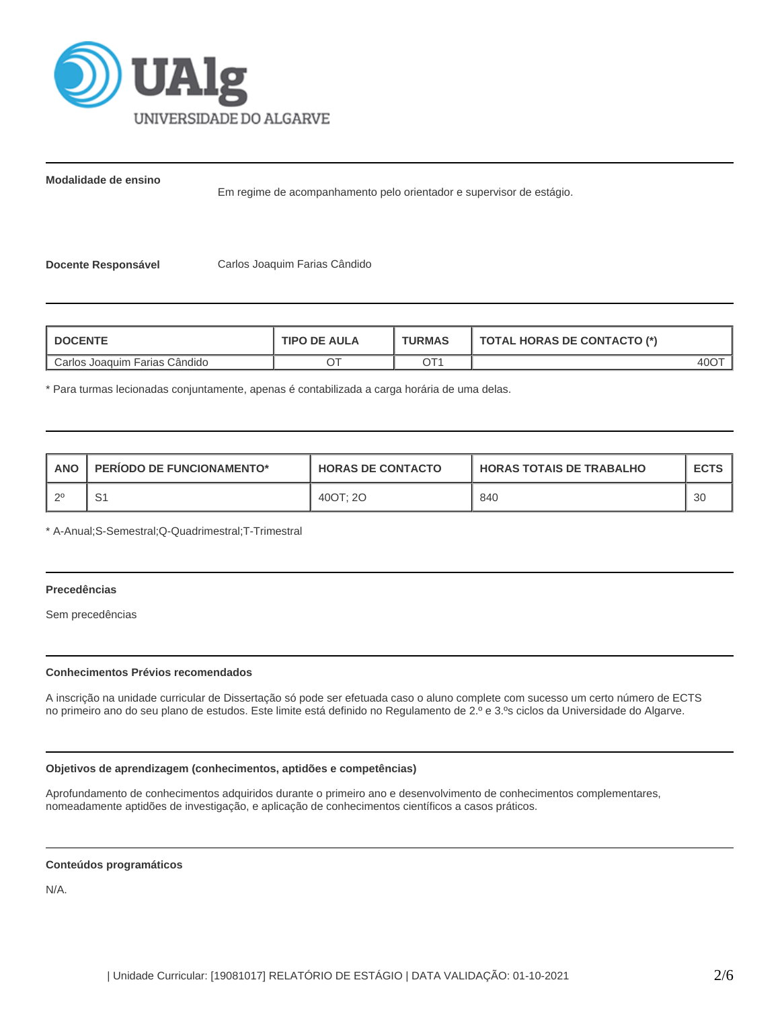

**Modalidade de ensino**

Em regime de acompanhamento pelo orientador e supervisor de estágio.

**Docente Responsável** Carlos Joaquim Farias Cândido

| <b>DOCENTE</b>                  | <b>TIPO DE AULA</b> | <b>TURMAS</b> | TOTAL HORAS DE CONTACTO (*) |  |  |
|---------------------------------|---------------------|---------------|-----------------------------|--|--|
| I Carlos Joaquim Farias Cândido |                     | OT1           | 40O                         |  |  |

\* Para turmas lecionadas conjuntamente, apenas é contabilizada a carga horária de uma delas.

| <b>ANO</b> | <b>PERIODO DE FUNCIONAMENTO*</b> | <b>HORAS DE CONTACTO</b> | <b>HORAS TOTAIS DE TRABALHO</b> | <b>ECTS</b> |
|------------|----------------------------------|--------------------------|---------------------------------|-------------|
| ാ          | ، ب                              | 400T: 20                 | 840                             | 30          |

\* A-Anual;S-Semestral;Q-Quadrimestral;T-Trimestral

# **Precedências**

Sem precedências

### **Conhecimentos Prévios recomendados**

A inscrição na unidade curricular de Dissertação só pode ser efetuada caso o aluno complete com sucesso um certo número de ECTS no primeiro ano do seu plano de estudos. Este limite está definido no Regulamento de 2.º e 3.ºs ciclos da Universidade do Algarve.

### **Objetivos de aprendizagem (conhecimentos, aptidões e competências)**

Aprofundamento de conhecimentos adquiridos durante o primeiro ano e desenvolvimento de conhecimentos complementares, nomeadamente aptidões de investigação, e aplicação de conhecimentos científicos a casos práticos.

#### **Conteúdos programáticos**

N/A.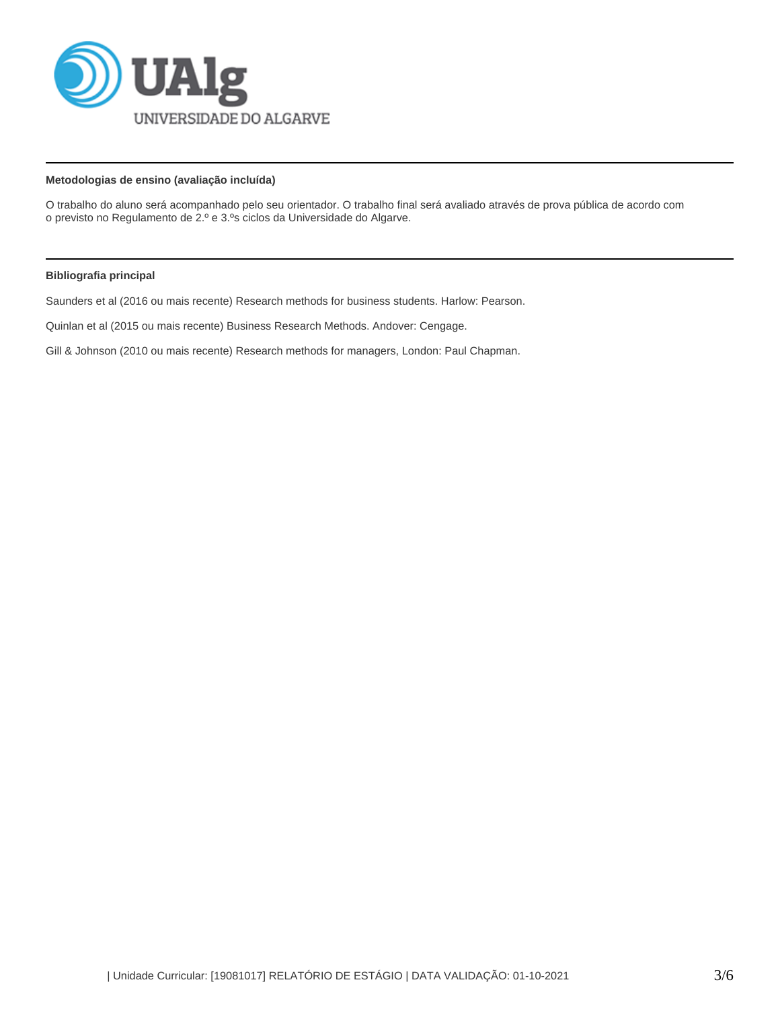

# **Metodologias de ensino (avaliação incluída)**

O trabalho do aluno será acompanhado pelo seu orientador. O trabalho final será avaliado através de prova pública de acordo com o previsto no Regulamento de 2.º e 3.ºs ciclos da Universidade do Algarve.

### **Bibliografia principal**

Saunders et al (2016 ou mais recente) Research methods for business students. Harlow: Pearson.

Quinlan et al (2015 ou mais recente) Business Research Methods. Andover: Cengage.

Gill & Johnson (2010 ou mais recente) Research methods for managers, London: Paul Chapman.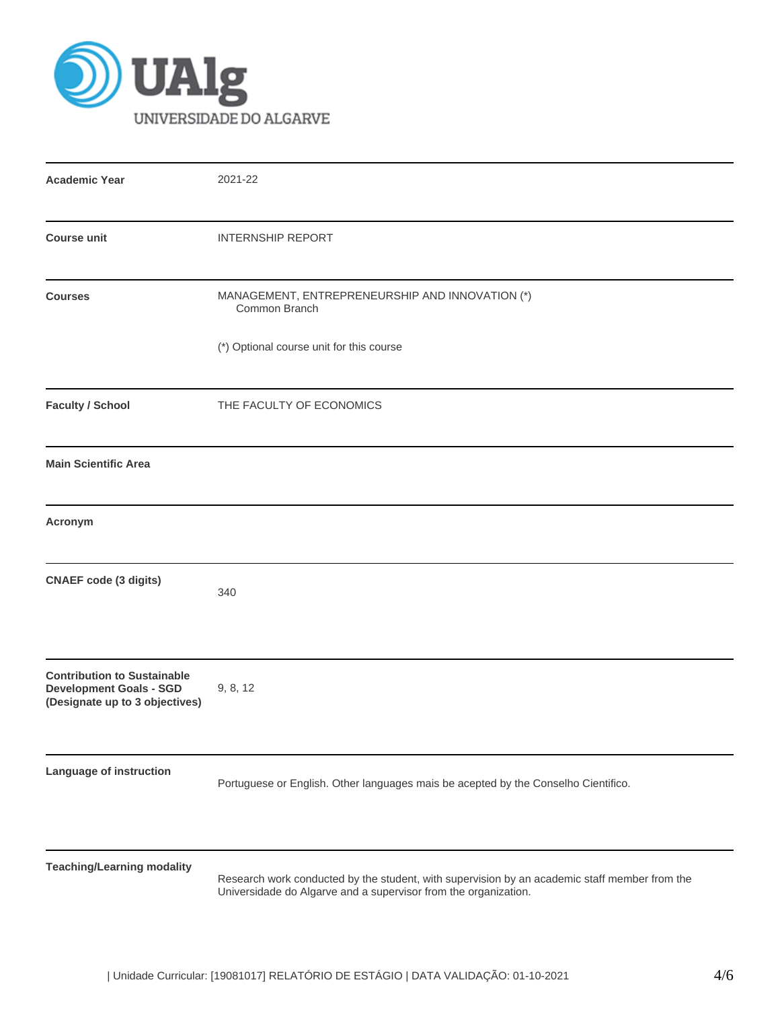

| <b>Academic Year</b>                                                                                   | 2021-22                                                                                                                                                          |
|--------------------------------------------------------------------------------------------------------|------------------------------------------------------------------------------------------------------------------------------------------------------------------|
| <b>Course unit</b>                                                                                     | <b>INTERNSHIP REPORT</b>                                                                                                                                         |
| <b>Courses</b>                                                                                         | MANAGEMENT, ENTREPRENEURSHIP AND INNOVATION (*)<br>Common Branch                                                                                                 |
|                                                                                                        | (*) Optional course unit for this course                                                                                                                         |
| <b>Faculty / School</b>                                                                                | THE FACULTY OF ECONOMICS                                                                                                                                         |
| <b>Main Scientific Area</b>                                                                            |                                                                                                                                                                  |
| Acronym                                                                                                |                                                                                                                                                                  |
| <b>CNAEF code (3 digits)</b>                                                                           | 340                                                                                                                                                              |
| <b>Contribution to Sustainable</b><br><b>Development Goals - SGD</b><br>(Designate up to 3 objectives) | 9, 8, 12                                                                                                                                                         |
| <b>Language of instruction</b>                                                                         | Portuguese or English. Other languages mais be acepted by the Conselho Cientifico.                                                                               |
| <b>Teaching/Learning modality</b>                                                                      | Research work conducted by the student, with supervision by an academic staff member from the<br>Universidade do Algarve and a supervisor from the organization. |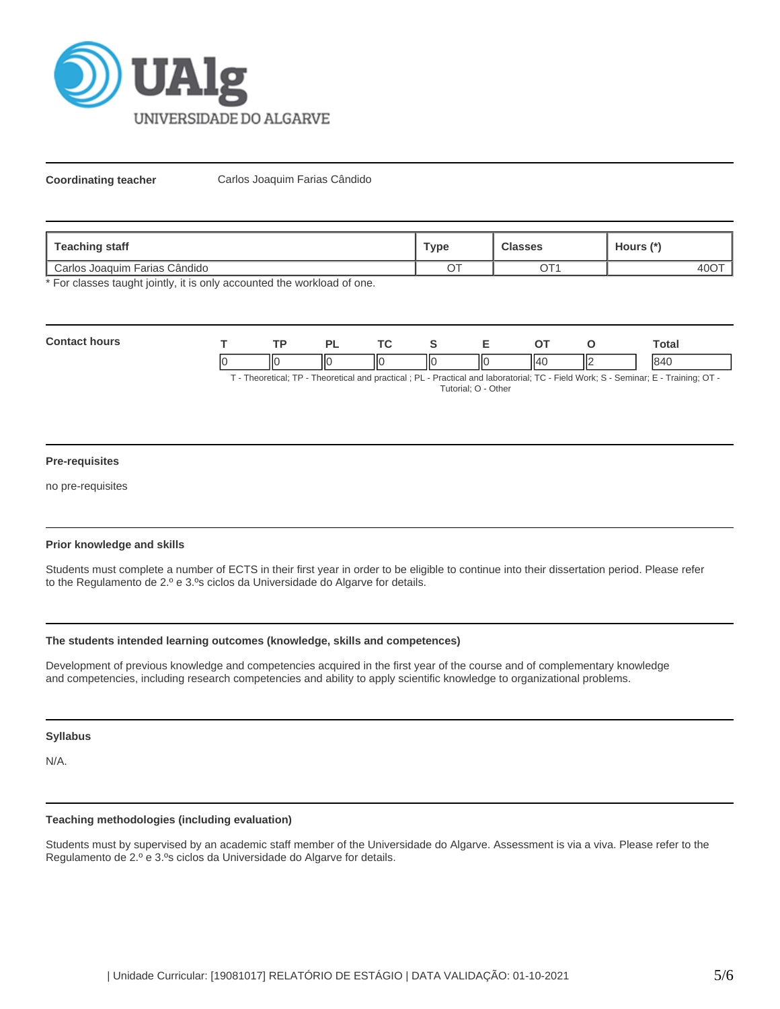

**Coordinating teacher** Carlos Joaquim Farias Cândido

| Teaching staff                             | <b>Type</b> | Classes                                 | Hours (*` |  |
|--------------------------------------------|-------------|-----------------------------------------|-----------|--|
| <sup>'</sup> Carlos Joaquim Farias Cândido | $\sim$ $-$  | $\mathop{\widehat{\hbox{--}}}\nolimits$ | 40C       |  |

\* For classes taught jointly, it is only accounted the workload of one.

| Con |    | <b>TD</b>      |    | <u>те</u> |    |    |          | otal |
|-----|----|----------------|----|-----------|----|----|----------|------|
|     | ıc | ''<br>$\cdots$ | ΠС | IЮ        | ШC | ۱л | Н۴<br>н۷ |      |

T - Theoretical; TP - Theoretical and practical ; PL - Practical and laboratorial; TC - Field Work; S - Seminar; E - Training; OT - Tutorial; O - Other

### **Pre-requisites**

no pre-requisites

### **Prior knowledge and skills**

Students must complete a number of ECTS in their first year in order to be eligible to continue into their dissertation period. Please refer to the Regulamento de 2.º e 3.ºs ciclos da Universidade do Algarve for details.

## **The students intended learning outcomes (knowledge, skills and competences)**

Development of previous knowledge and competencies acquired in the first year of the course and of complementary knowledge and competencies, including research competencies and ability to apply scientific knowledge to organizational problems.

#### **Syllabus**

N/A.

# **Teaching methodologies (including evaluation)**

Students must by supervised by an academic staff member of the Universidade do Algarve. Assessment is via a viva. Please refer to the Regulamento de 2.º e 3.ºs ciclos da Universidade do Algarve for details.